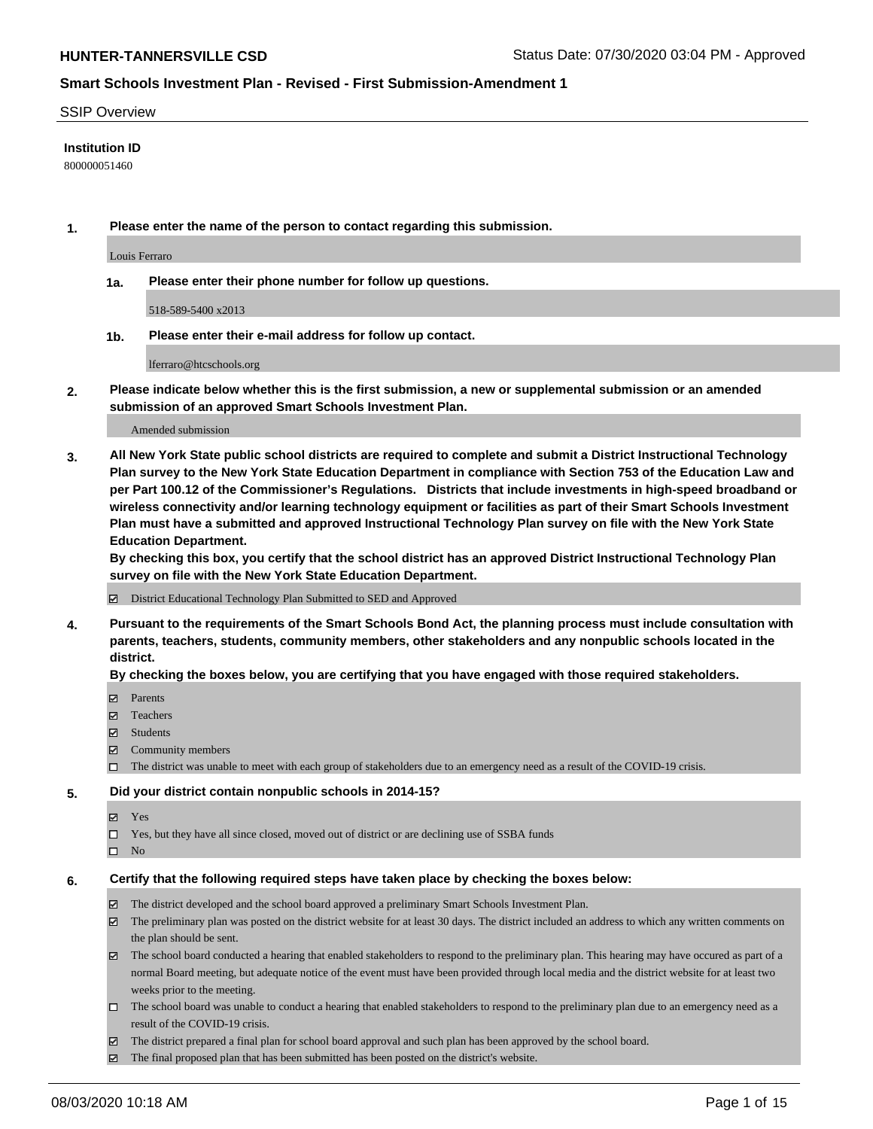### SSIP Overview

### **Institution ID**

800000051460

**1. Please enter the name of the person to contact regarding this submission.**

Louis Ferraro

**1a. Please enter their phone number for follow up questions.**

518-589-5400 x2013

**1b. Please enter their e-mail address for follow up contact.**

lferraro@htcschools.org

**2. Please indicate below whether this is the first submission, a new or supplemental submission or an amended submission of an approved Smart Schools Investment Plan.**

#### Amended submission

**3. All New York State public school districts are required to complete and submit a District Instructional Technology Plan survey to the New York State Education Department in compliance with Section 753 of the Education Law and per Part 100.12 of the Commissioner's Regulations. Districts that include investments in high-speed broadband or wireless connectivity and/or learning technology equipment or facilities as part of their Smart Schools Investment Plan must have a submitted and approved Instructional Technology Plan survey on file with the New York State Education Department.** 

**By checking this box, you certify that the school district has an approved District Instructional Technology Plan survey on file with the New York State Education Department.**

District Educational Technology Plan Submitted to SED and Approved

**4. Pursuant to the requirements of the Smart Schools Bond Act, the planning process must include consultation with parents, teachers, students, community members, other stakeholders and any nonpublic schools located in the district.** 

#### **By checking the boxes below, you are certifying that you have engaged with those required stakeholders.**

- **□** Parents
- Teachers
- Students
- $\boxtimes$  Community members
- The district was unable to meet with each group of stakeholders due to an emergency need as a result of the COVID-19 crisis.

#### **5. Did your district contain nonpublic schools in 2014-15?**

- **冈** Yes
- Yes, but they have all since closed, moved out of district or are declining use of SSBA funds
- $\square$  No

#### **6. Certify that the following required steps have taken place by checking the boxes below:**

- The district developed and the school board approved a preliminary Smart Schools Investment Plan.
- $\boxtimes$  The preliminary plan was posted on the district website for at least 30 days. The district included an address to which any written comments on the plan should be sent.
- $\boxtimes$  The school board conducted a hearing that enabled stakeholders to respond to the preliminary plan. This hearing may have occured as part of a normal Board meeting, but adequate notice of the event must have been provided through local media and the district website for at least two weeks prior to the meeting.
- The school board was unable to conduct a hearing that enabled stakeholders to respond to the preliminary plan due to an emergency need as a result of the COVID-19 crisis.
- The district prepared a final plan for school board approval and such plan has been approved by the school board.
- $\boxtimes$  The final proposed plan that has been submitted has been posted on the district's website.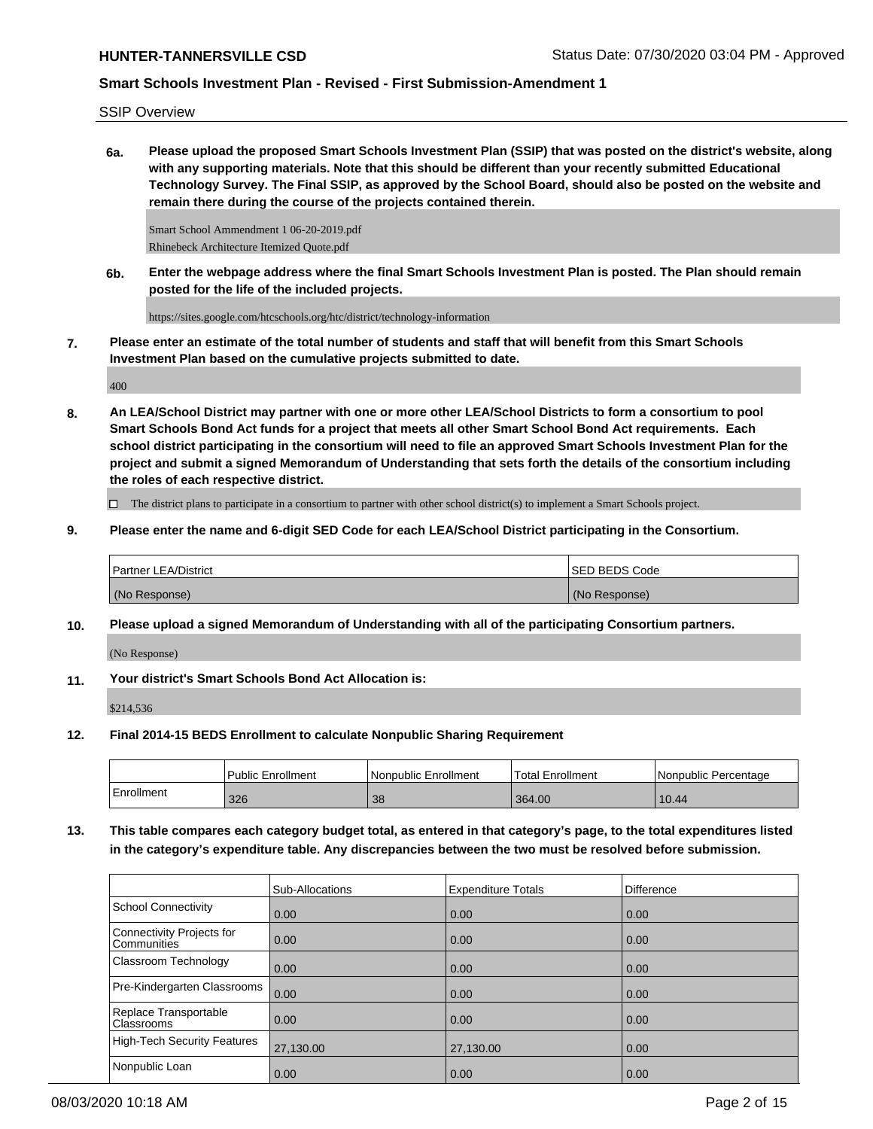SSIP Overview

**6a. Please upload the proposed Smart Schools Investment Plan (SSIP) that was posted on the district's website, along with any supporting materials. Note that this should be different than your recently submitted Educational Technology Survey. The Final SSIP, as approved by the School Board, should also be posted on the website and remain there during the course of the projects contained therein.**

Smart School Ammendment 1 06-20-2019.pdf Rhinebeck Architecture Itemized Quote.pdf

**6b. Enter the webpage address where the final Smart Schools Investment Plan is posted. The Plan should remain posted for the life of the included projects.**

https://sites.google.com/htcschools.org/htc/district/technology-information

**7. Please enter an estimate of the total number of students and staff that will benefit from this Smart Schools Investment Plan based on the cumulative projects submitted to date.**

400

**8. An LEA/School District may partner with one or more other LEA/School Districts to form a consortium to pool Smart Schools Bond Act funds for a project that meets all other Smart School Bond Act requirements. Each school district participating in the consortium will need to file an approved Smart Schools Investment Plan for the project and submit a signed Memorandum of Understanding that sets forth the details of the consortium including the roles of each respective district.**

 $\Box$  The district plans to participate in a consortium to partner with other school district(s) to implement a Smart Schools project.

**9. Please enter the name and 6-digit SED Code for each LEA/School District participating in the Consortium.**

| <b>Partner LEA/District</b> | <b>ISED BEDS Code</b> |
|-----------------------------|-----------------------|
| (No Response)               | (No Response)         |

**10. Please upload a signed Memorandum of Understanding with all of the participating Consortium partners.**

(No Response)

**11. Your district's Smart Schools Bond Act Allocation is:**

\$214,536

**12. Final 2014-15 BEDS Enrollment to calculate Nonpublic Sharing Requirement**

|            | Public Enrollment | l Nonpublic Enrollment | <b>Total Enrollment</b> | l Nonpublic Percentage |
|------------|-------------------|------------------------|-------------------------|------------------------|
| Enrollment | 326               | 38                     | 364.00                  | 10.44                  |

**13. This table compares each category budget total, as entered in that category's page, to the total expenditures listed in the category's expenditure table. Any discrepancies between the two must be resolved before submission.**

|                                                 | Sub-Allocations   | <b>Expenditure Totals</b> | <b>Difference</b> |
|-------------------------------------------------|-------------------|---------------------------|-------------------|
| School Connectivity                             | 0.00              | 0.00                      | 0.00              |
| Connectivity Projects for<br><b>Communities</b> | $\overline{0.00}$ | 0.00                      | 0.00              |
| <b>Classroom Technology</b>                     | 0.00              | 0.00                      | 0.00              |
| Pre-Kindergarten Classrooms                     | 0.00              | 0.00                      | 0.00              |
| Replace Transportable<br><b>Classrooms</b>      | $\overline{0.00}$ | 0.00                      | 0.00              |
| High-Tech Security Features                     | 27,130.00         | 27,130.00                 | 0.00              |
| Nonpublic Loan                                  | 0.00              | 0.00                      | 0.00              |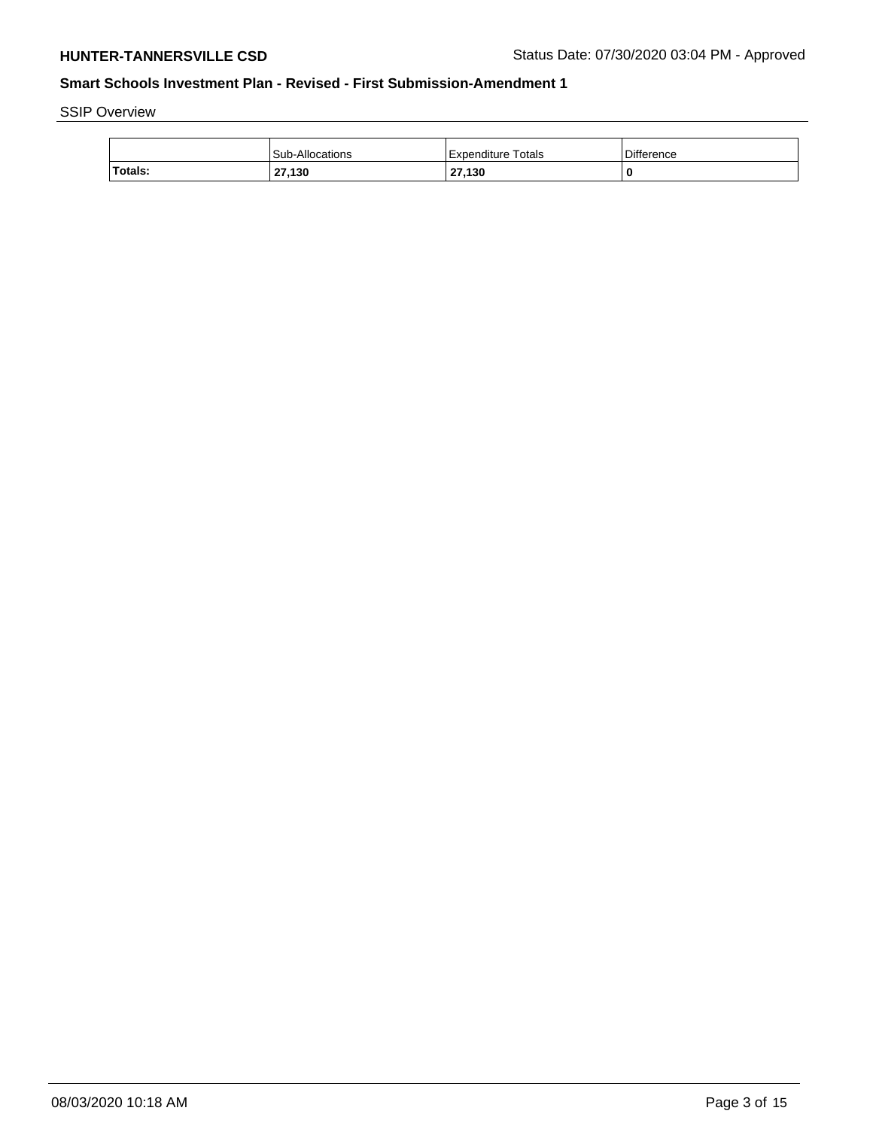SSIP Overview

|         | <b>Sub-Allocations</b> | Expenditure Totals | <b>Difference</b> |
|---------|------------------------|--------------------|-------------------|
| Totals: | 27,130                 | 27,130             |                   |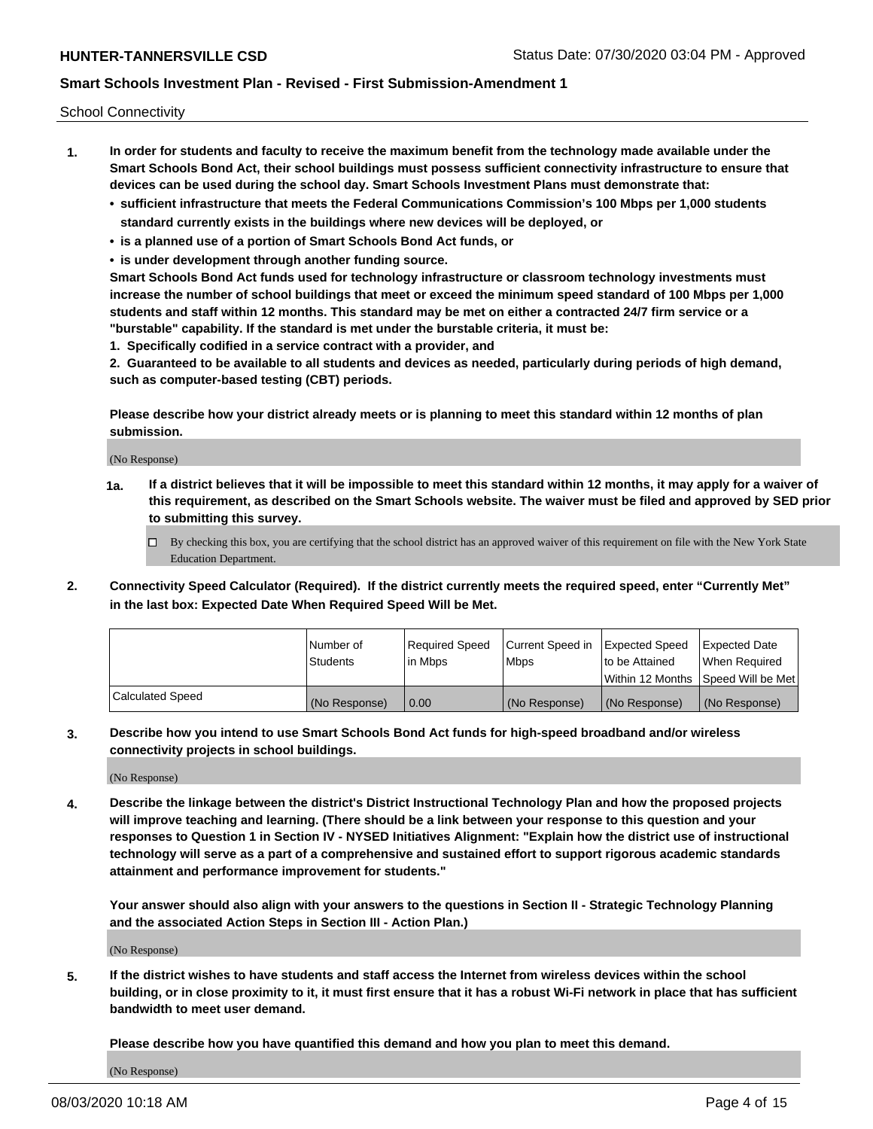School Connectivity

- **1. In order for students and faculty to receive the maximum benefit from the technology made available under the Smart Schools Bond Act, their school buildings must possess sufficient connectivity infrastructure to ensure that devices can be used during the school day. Smart Schools Investment Plans must demonstrate that:**
	- **• sufficient infrastructure that meets the Federal Communications Commission's 100 Mbps per 1,000 students standard currently exists in the buildings where new devices will be deployed, or**
	- **• is a planned use of a portion of Smart Schools Bond Act funds, or**
	- **• is under development through another funding source.**

**Smart Schools Bond Act funds used for technology infrastructure or classroom technology investments must increase the number of school buildings that meet or exceed the minimum speed standard of 100 Mbps per 1,000 students and staff within 12 months. This standard may be met on either a contracted 24/7 firm service or a "burstable" capability. If the standard is met under the burstable criteria, it must be:**

**1. Specifically codified in a service contract with a provider, and**

**2. Guaranteed to be available to all students and devices as needed, particularly during periods of high demand, such as computer-based testing (CBT) periods.**

**Please describe how your district already meets or is planning to meet this standard within 12 months of plan submission.**

(No Response)

**1a. If a district believes that it will be impossible to meet this standard within 12 months, it may apply for a waiver of this requirement, as described on the Smart Schools website. The waiver must be filed and approved by SED prior to submitting this survey.**

 $\Box$  By checking this box, you are certifying that the school district has an approved waiver of this requirement on file with the New York State Education Department.

**2. Connectivity Speed Calculator (Required). If the district currently meets the required speed, enter "Currently Met" in the last box: Expected Date When Required Speed Will be Met.**

|                  | l Number of     | Required Speed | Current Speed in | Expected Speed | Expected Date                           |
|------------------|-----------------|----------------|------------------|----------------|-----------------------------------------|
|                  | <b>Students</b> | In Mbps        | l Mbps           | to be Attained | When Required                           |
|                  |                 |                |                  |                | l Within 12 Months ISpeed Will be Met l |
| Calculated Speed | (No Response)   | 0.00           | (No Response)    | (No Response)  | (No Response)                           |

**3. Describe how you intend to use Smart Schools Bond Act funds for high-speed broadband and/or wireless connectivity projects in school buildings.**

(No Response)

**4. Describe the linkage between the district's District Instructional Technology Plan and how the proposed projects will improve teaching and learning. (There should be a link between your response to this question and your responses to Question 1 in Section IV - NYSED Initiatives Alignment: "Explain how the district use of instructional technology will serve as a part of a comprehensive and sustained effort to support rigorous academic standards attainment and performance improvement for students."** 

**Your answer should also align with your answers to the questions in Section II - Strategic Technology Planning and the associated Action Steps in Section III - Action Plan.)**

(No Response)

**5. If the district wishes to have students and staff access the Internet from wireless devices within the school building, or in close proximity to it, it must first ensure that it has a robust Wi-Fi network in place that has sufficient bandwidth to meet user demand.**

**Please describe how you have quantified this demand and how you plan to meet this demand.**

(No Response)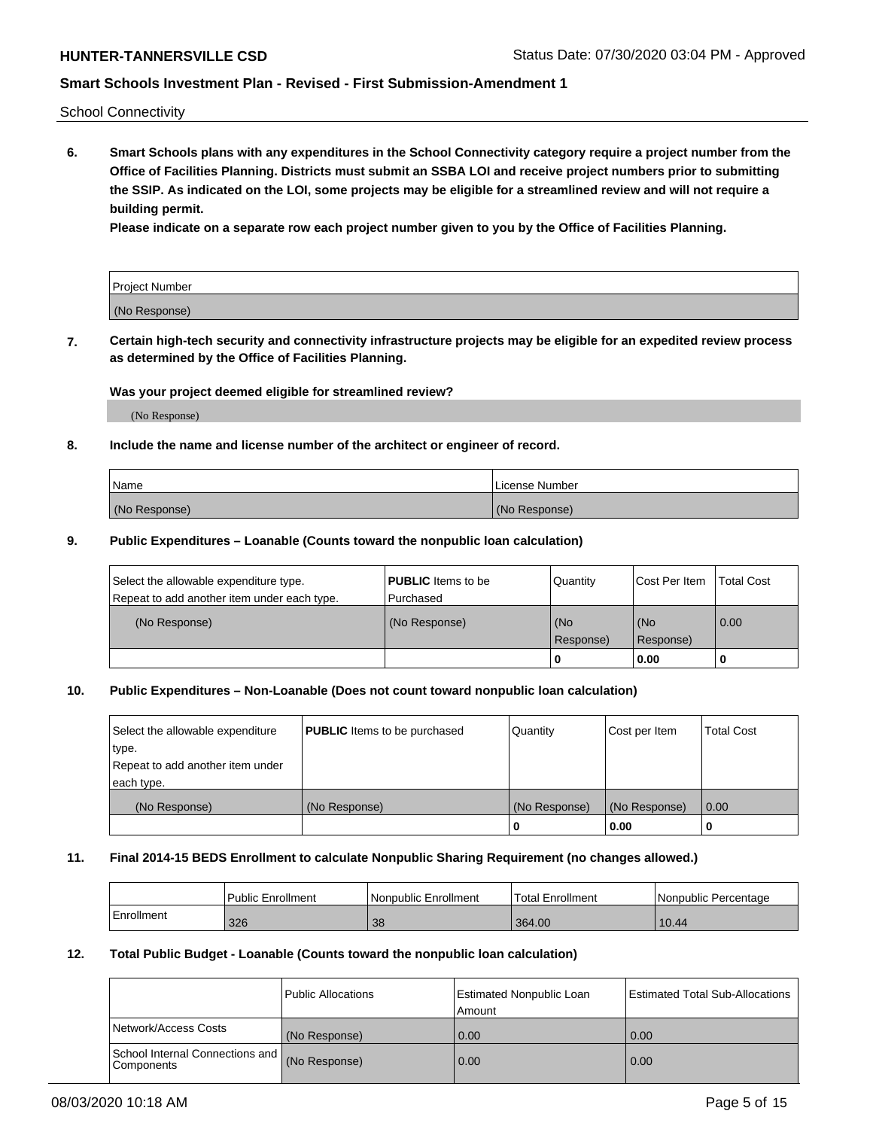School Connectivity

**6. Smart Schools plans with any expenditures in the School Connectivity category require a project number from the Office of Facilities Planning. Districts must submit an SSBA LOI and receive project numbers prior to submitting the SSIP. As indicated on the LOI, some projects may be eligible for a streamlined review and will not require a building permit.**

**Please indicate on a separate row each project number given to you by the Office of Facilities Planning.**

| Project Number |  |
|----------------|--|
| (No Response)  |  |

**7. Certain high-tech security and connectivity infrastructure projects may be eligible for an expedited review process as determined by the Office of Facilities Planning.**

### **Was your project deemed eligible for streamlined review?**

(No Response)

### **8. Include the name and license number of the architect or engineer of record.**

| Name          | License Number |
|---------------|----------------|
| (No Response) | (No Response)  |

### **9. Public Expenditures – Loanable (Counts toward the nonpublic loan calculation)**

| Select the allowable expenditure type.<br>Repeat to add another item under each type. | <b>PUBLIC</b> Items to be<br>l Purchased | Quantity           | Cost Per Item    | <b>Total Cost</b> |
|---------------------------------------------------------------------------------------|------------------------------------------|--------------------|------------------|-------------------|
| (No Response)                                                                         | (No Response)                            | l (No<br>Response) | (No<br>Response) | $\overline{0.00}$ |
|                                                                                       |                                          | 0                  | 0.00             |                   |

## **10. Public Expenditures – Non-Loanable (Does not count toward nonpublic loan calculation)**

| Select the allowable expenditure<br>type.<br>Repeat to add another item under<br>each type. | <b>PUBLIC</b> Items to be purchased | Quantity      | Cost per Item | <b>Total Cost</b> |
|---------------------------------------------------------------------------------------------|-------------------------------------|---------------|---------------|-------------------|
| (No Response)                                                                               | (No Response)                       | (No Response) | (No Response) | 0.00              |
|                                                                                             |                                     |               | 0.00          |                   |

#### **11. Final 2014-15 BEDS Enrollment to calculate Nonpublic Sharing Requirement (no changes allowed.)**

|            | Public Enrollment | l Nonpublic Enrollment | <b>Total Enrollment</b> | Nonpublic Percentage |
|------------|-------------------|------------------------|-------------------------|----------------------|
| Enrollment | 326               | 38                     | 364.00                  | 10.44                |

#### **12. Total Public Budget - Loanable (Counts toward the nonpublic loan calculation)**

|                                                      | Public Allocations | <b>Estimated Nonpublic Loan</b><br>Amount | Estimated Total Sub-Allocations |
|------------------------------------------------------|--------------------|-------------------------------------------|---------------------------------|
| Network/Access Costs                                 | (No Response)      | 0.00                                      | 0.00                            |
| School Internal Connections and<br><b>Components</b> | (No Response)      | 0.00                                      | 0.00                            |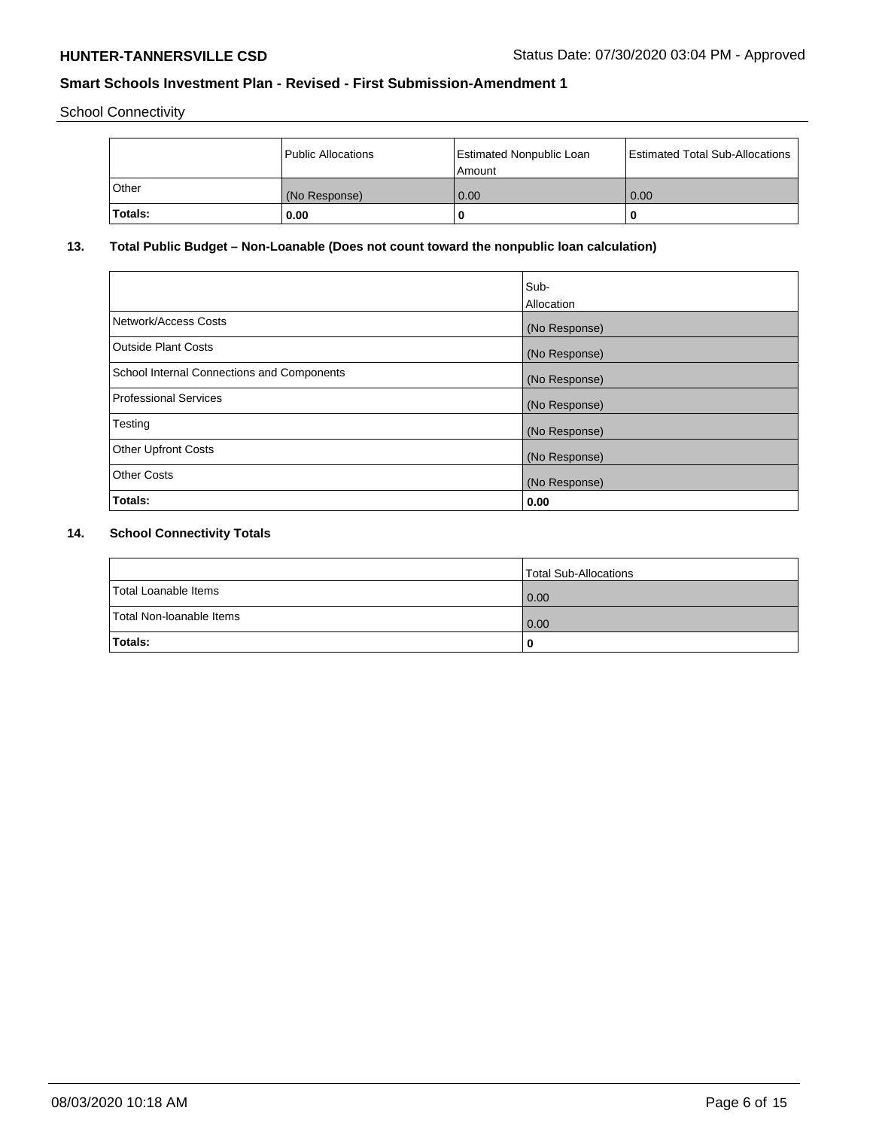School Connectivity

|         | Public Allocations | <b>Estimated Nonpublic Loan</b><br>l Amount i | <b>Estimated Total Sub-Allocations</b> |
|---------|--------------------|-----------------------------------------------|----------------------------------------|
| Other   | (No Response)      | 0.00                                          | 0.00                                   |
| Totals: | 0.00               | 0                                             |                                        |

# **13. Total Public Budget – Non-Loanable (Does not count toward the nonpublic loan calculation)**

|                                                   | Sub-<br>Allocation |
|---------------------------------------------------|--------------------|
|                                                   |                    |
| Network/Access Costs                              | (No Response)      |
| <b>Outside Plant Costs</b>                        | (No Response)      |
| <b>School Internal Connections and Components</b> | (No Response)      |
| Professional Services                             | (No Response)      |
| Testing                                           | (No Response)      |
| <b>Other Upfront Costs</b>                        | (No Response)      |
| <b>Other Costs</b>                                | (No Response)      |
| <b>Totals:</b>                                    | 0.00               |

# **14. School Connectivity Totals**

|                          | Total Sub-Allocations |
|--------------------------|-----------------------|
| Total Loanable Items     | $\overline{0.00}$     |
| Total Non-Ioanable Items | $\overline{0.00}$     |
| Totals:                  |                       |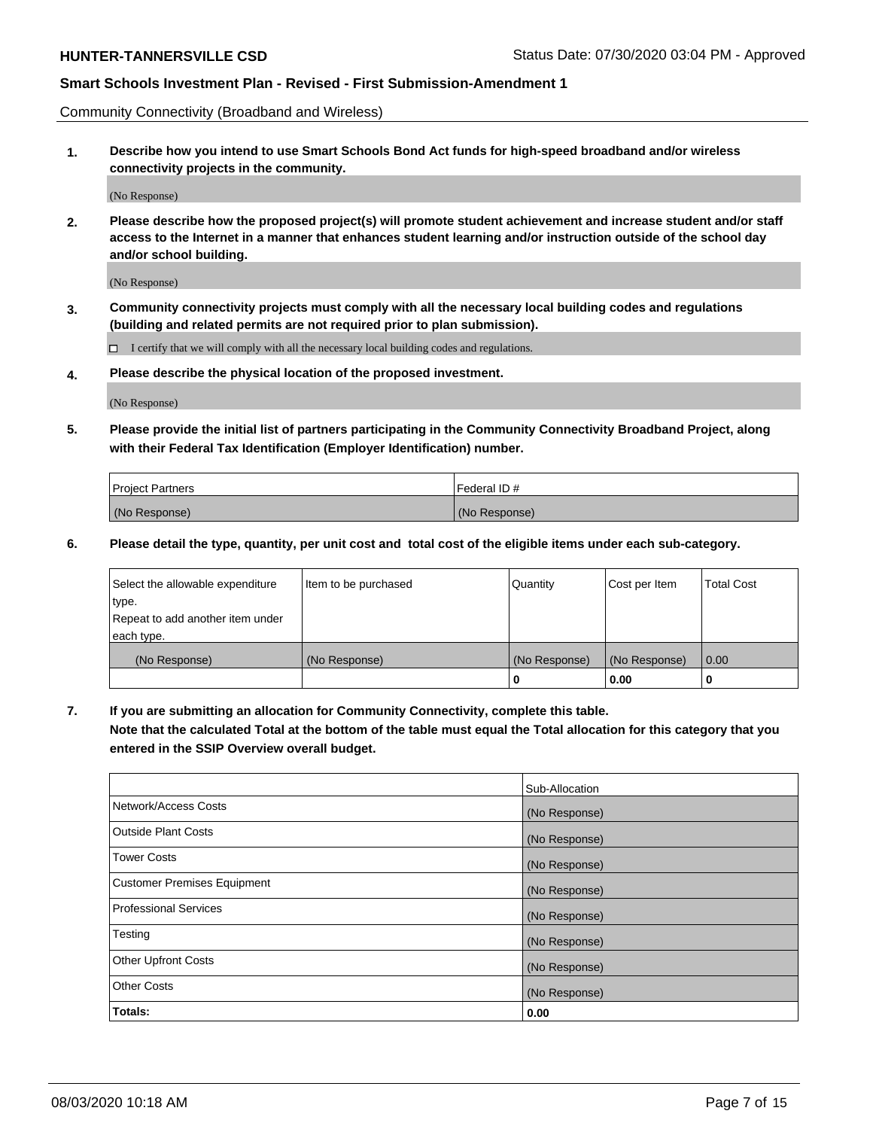Community Connectivity (Broadband and Wireless)

**1. Describe how you intend to use Smart Schools Bond Act funds for high-speed broadband and/or wireless connectivity projects in the community.**

(No Response)

**2. Please describe how the proposed project(s) will promote student achievement and increase student and/or staff access to the Internet in a manner that enhances student learning and/or instruction outside of the school day and/or school building.**

(No Response)

**3. Community connectivity projects must comply with all the necessary local building codes and regulations (building and related permits are not required prior to plan submission).**

 $\Box$  I certify that we will comply with all the necessary local building codes and regulations.

**4. Please describe the physical location of the proposed investment.**

(No Response)

**5. Please provide the initial list of partners participating in the Community Connectivity Broadband Project, along with their Federal Tax Identification (Employer Identification) number.**

| <b>Project Partners</b> | l Federal ID # |
|-------------------------|----------------|
| (No Response)           | (No Response)  |

**6. Please detail the type, quantity, per unit cost and total cost of the eligible items under each sub-category.**

| Select the allowable expenditure | Item to be purchased | Quantity      | Cost per Item | <b>Total Cost</b> |
|----------------------------------|----------------------|---------------|---------------|-------------------|
| type.                            |                      |               |               |                   |
| Repeat to add another item under |                      |               |               |                   |
| each type.                       |                      |               |               |                   |
| (No Response)                    | (No Response)        | (No Response) | (No Response) | 0.00              |
|                                  |                      | o             | 0.00          |                   |

**7. If you are submitting an allocation for Community Connectivity, complete this table.**

**Note that the calculated Total at the bottom of the table must equal the Total allocation for this category that you entered in the SSIP Overview overall budget.**

|                                    | Sub-Allocation |
|------------------------------------|----------------|
| Network/Access Costs               | (No Response)  |
| Outside Plant Costs                | (No Response)  |
| <b>Tower Costs</b>                 | (No Response)  |
| <b>Customer Premises Equipment</b> | (No Response)  |
| <b>Professional Services</b>       | (No Response)  |
| Testing                            | (No Response)  |
| <b>Other Upfront Costs</b>         | (No Response)  |
| <b>Other Costs</b>                 | (No Response)  |
| Totals:                            | 0.00           |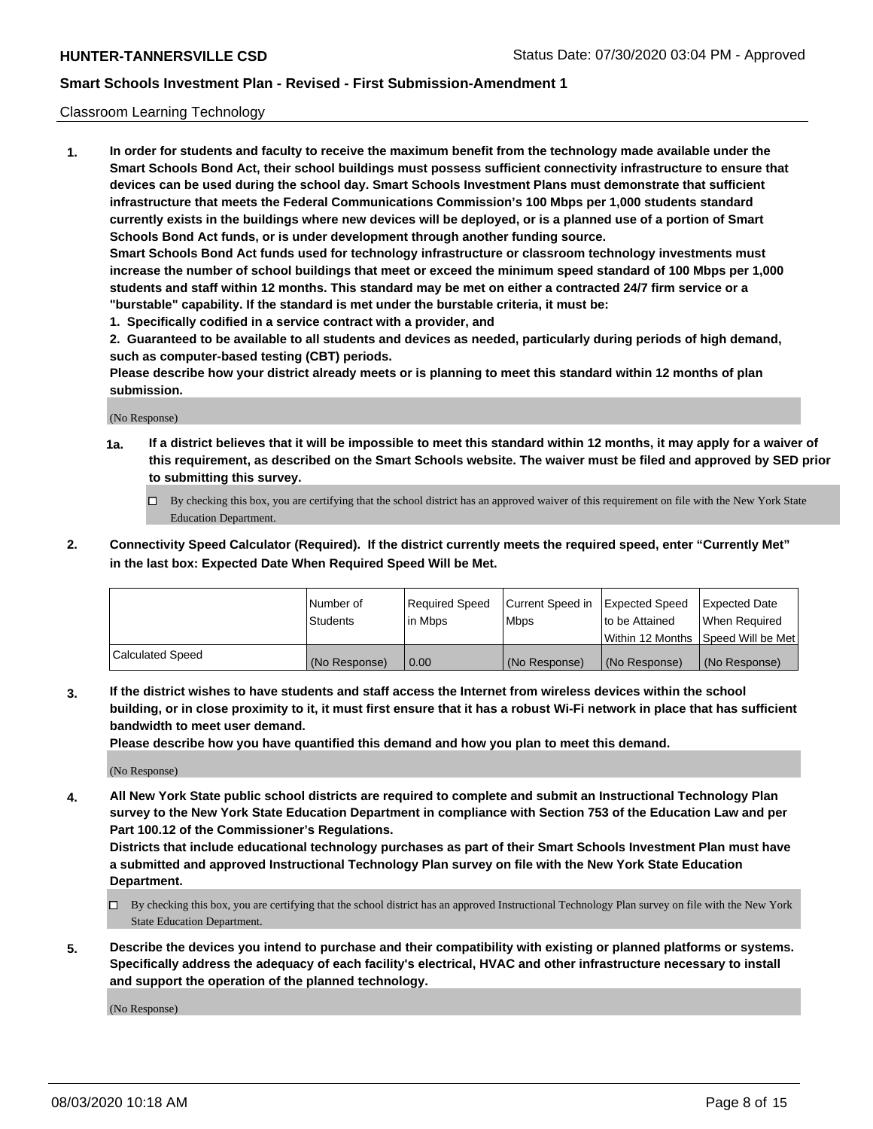### Classroom Learning Technology

**1. In order for students and faculty to receive the maximum benefit from the technology made available under the Smart Schools Bond Act, their school buildings must possess sufficient connectivity infrastructure to ensure that devices can be used during the school day. Smart Schools Investment Plans must demonstrate that sufficient infrastructure that meets the Federal Communications Commission's 100 Mbps per 1,000 students standard currently exists in the buildings where new devices will be deployed, or is a planned use of a portion of Smart Schools Bond Act funds, or is under development through another funding source. Smart Schools Bond Act funds used for technology infrastructure or classroom technology investments must increase the number of school buildings that meet or exceed the minimum speed standard of 100 Mbps per 1,000 students and staff within 12 months. This standard may be met on either a contracted 24/7 firm service or a**

- **"burstable" capability. If the standard is met under the burstable criteria, it must be:**
- **1. Specifically codified in a service contract with a provider, and**

**2. Guaranteed to be available to all students and devices as needed, particularly during periods of high demand, such as computer-based testing (CBT) periods.**

**Please describe how your district already meets or is planning to meet this standard within 12 months of plan submission.**

(No Response)

- **1a. If a district believes that it will be impossible to meet this standard within 12 months, it may apply for a waiver of this requirement, as described on the Smart Schools website. The waiver must be filed and approved by SED prior to submitting this survey.**
	- By checking this box, you are certifying that the school district has an approved waiver of this requirement on file with the New York State Education Department.
- **2. Connectivity Speed Calculator (Required). If the district currently meets the required speed, enter "Currently Met" in the last box: Expected Date When Required Speed Will be Met.**

|                  | l Number of     | Required Speed | Current Speed in | <b>Expected Speed</b> | <b>Expected Date</b>                |
|------------------|-----------------|----------------|------------------|-----------------------|-------------------------------------|
|                  | <b>Students</b> | l in Mbps      | l Mbps           | to be Attained        | When Required                       |
|                  |                 |                |                  |                       | Within 12 Months  Speed Will be Met |
| Calculated Speed | (No Response)   | 0.00           | (No Response)    | l (No Response)       | (No Response)                       |

**3. If the district wishes to have students and staff access the Internet from wireless devices within the school building, or in close proximity to it, it must first ensure that it has a robust Wi-Fi network in place that has sufficient bandwidth to meet user demand.**

**Please describe how you have quantified this demand and how you plan to meet this demand.**

(No Response)

**4. All New York State public school districts are required to complete and submit an Instructional Technology Plan survey to the New York State Education Department in compliance with Section 753 of the Education Law and per Part 100.12 of the Commissioner's Regulations.**

**Districts that include educational technology purchases as part of their Smart Schools Investment Plan must have a submitted and approved Instructional Technology Plan survey on file with the New York State Education Department.**

- By checking this box, you are certifying that the school district has an approved Instructional Technology Plan survey on file with the New York State Education Department.
- **5. Describe the devices you intend to purchase and their compatibility with existing or planned platforms or systems. Specifically address the adequacy of each facility's electrical, HVAC and other infrastructure necessary to install and support the operation of the planned technology.**

(No Response)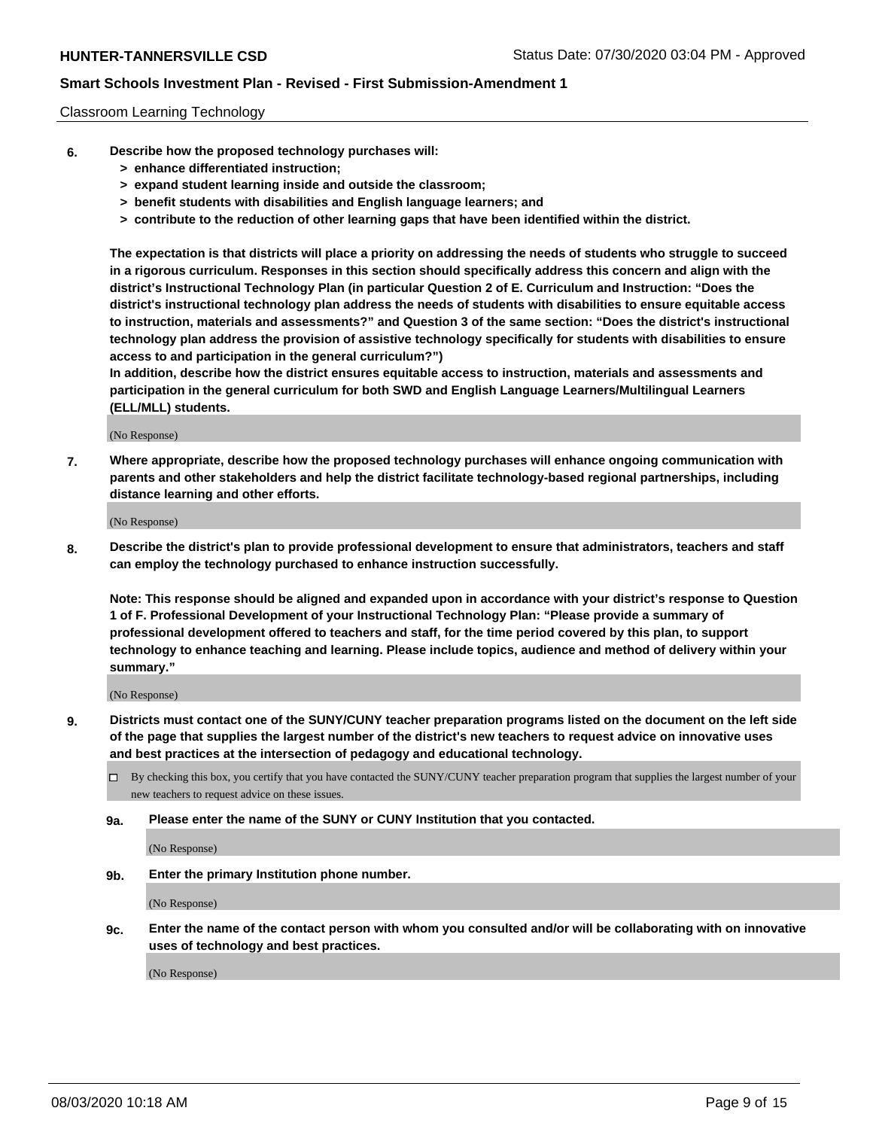### Classroom Learning Technology

- **6. Describe how the proposed technology purchases will:**
	- **> enhance differentiated instruction;**
	- **> expand student learning inside and outside the classroom;**
	- **> benefit students with disabilities and English language learners; and**
	- **> contribute to the reduction of other learning gaps that have been identified within the district.**

**The expectation is that districts will place a priority on addressing the needs of students who struggle to succeed in a rigorous curriculum. Responses in this section should specifically address this concern and align with the district's Instructional Technology Plan (in particular Question 2 of E. Curriculum and Instruction: "Does the district's instructional technology plan address the needs of students with disabilities to ensure equitable access to instruction, materials and assessments?" and Question 3 of the same section: "Does the district's instructional technology plan address the provision of assistive technology specifically for students with disabilities to ensure access to and participation in the general curriculum?")**

**In addition, describe how the district ensures equitable access to instruction, materials and assessments and participation in the general curriculum for both SWD and English Language Learners/Multilingual Learners (ELL/MLL) students.**

(No Response)

**7. Where appropriate, describe how the proposed technology purchases will enhance ongoing communication with parents and other stakeholders and help the district facilitate technology-based regional partnerships, including distance learning and other efforts.**

(No Response)

**8. Describe the district's plan to provide professional development to ensure that administrators, teachers and staff can employ the technology purchased to enhance instruction successfully.**

**Note: This response should be aligned and expanded upon in accordance with your district's response to Question 1 of F. Professional Development of your Instructional Technology Plan: "Please provide a summary of professional development offered to teachers and staff, for the time period covered by this plan, to support technology to enhance teaching and learning. Please include topics, audience and method of delivery within your summary."**

(No Response)

- **9. Districts must contact one of the SUNY/CUNY teacher preparation programs listed on the document on the left side of the page that supplies the largest number of the district's new teachers to request advice on innovative uses and best practices at the intersection of pedagogy and educational technology.**
	- By checking this box, you certify that you have contacted the SUNY/CUNY teacher preparation program that supplies the largest number of your new teachers to request advice on these issues.
	- **9a. Please enter the name of the SUNY or CUNY Institution that you contacted.**

(No Response)

**9b. Enter the primary Institution phone number.**

(No Response)

**9c. Enter the name of the contact person with whom you consulted and/or will be collaborating with on innovative uses of technology and best practices.**

(No Response)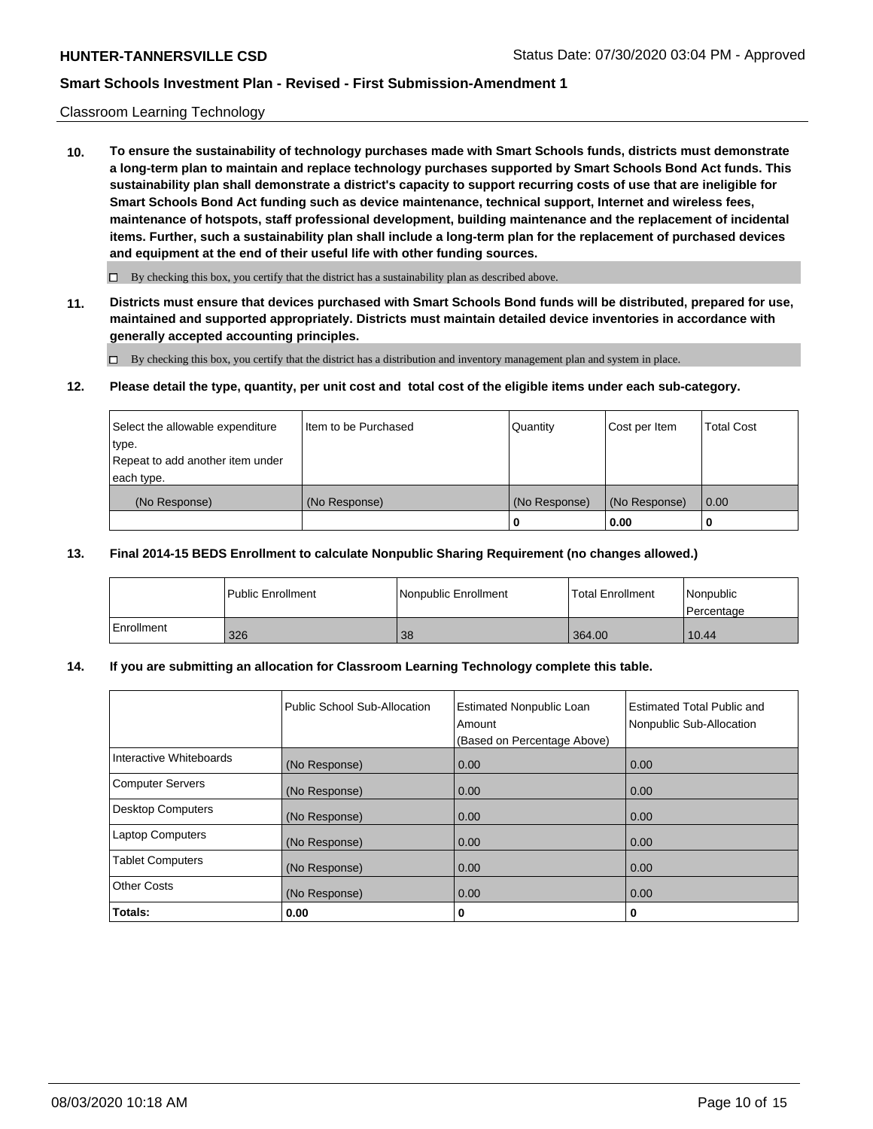### Classroom Learning Technology

**10. To ensure the sustainability of technology purchases made with Smart Schools funds, districts must demonstrate a long-term plan to maintain and replace technology purchases supported by Smart Schools Bond Act funds. This sustainability plan shall demonstrate a district's capacity to support recurring costs of use that are ineligible for Smart Schools Bond Act funding such as device maintenance, technical support, Internet and wireless fees, maintenance of hotspots, staff professional development, building maintenance and the replacement of incidental items. Further, such a sustainability plan shall include a long-term plan for the replacement of purchased devices and equipment at the end of their useful life with other funding sources.**

 $\Box$  By checking this box, you certify that the district has a sustainability plan as described above.

**11. Districts must ensure that devices purchased with Smart Schools Bond funds will be distributed, prepared for use, maintained and supported appropriately. Districts must maintain detailed device inventories in accordance with generally accepted accounting principles.**

By checking this box, you certify that the district has a distribution and inventory management plan and system in place.

#### **12. Please detail the type, quantity, per unit cost and total cost of the eligible items under each sub-category.**

| Select the allowable expenditure<br>type.<br>Repeat to add another item under | Item to be Purchased | Quantity      | Cost per Item | <b>Total Cost</b> |
|-------------------------------------------------------------------------------|----------------------|---------------|---------------|-------------------|
| each type.<br>(No Response)                                                   | (No Response)        | (No Response) | (No Response) | 0.00              |
|                                                                               |                      | 0             | 0.00          |                   |

### **13. Final 2014-15 BEDS Enrollment to calculate Nonpublic Sharing Requirement (no changes allowed.)**

|            | l Public Enrollment | Nonpublic Enrollment | <b>Total Enrollment</b> | Nonpublic<br>l Percentage |
|------------|---------------------|----------------------|-------------------------|---------------------------|
| Enrollment | 326                 | 38                   | 364.00                  | 10.44                     |

### **14. If you are submitting an allocation for Classroom Learning Technology complete this table.**

|                         | Public School Sub-Allocation | <b>Estimated Nonpublic Loan</b><br>Amount<br>(Based on Percentage Above) | Estimated Total Public and<br>Nonpublic Sub-Allocation |
|-------------------------|------------------------------|--------------------------------------------------------------------------|--------------------------------------------------------|
| Interactive Whiteboards | (No Response)                | 0.00                                                                     | 0.00                                                   |
| Computer Servers        | (No Response)                | 0.00                                                                     | 0.00                                                   |
| Desktop Computers       | (No Response)                | 0.00                                                                     | 0.00                                                   |
| <b>Laptop Computers</b> | (No Response)                | 0.00                                                                     | 0.00                                                   |
| <b>Tablet Computers</b> | (No Response)                | 0.00                                                                     | 0.00                                                   |
| Other Costs             | (No Response)                | 0.00                                                                     | 0.00                                                   |
| Totals:                 | 0.00                         | 0                                                                        | 0                                                      |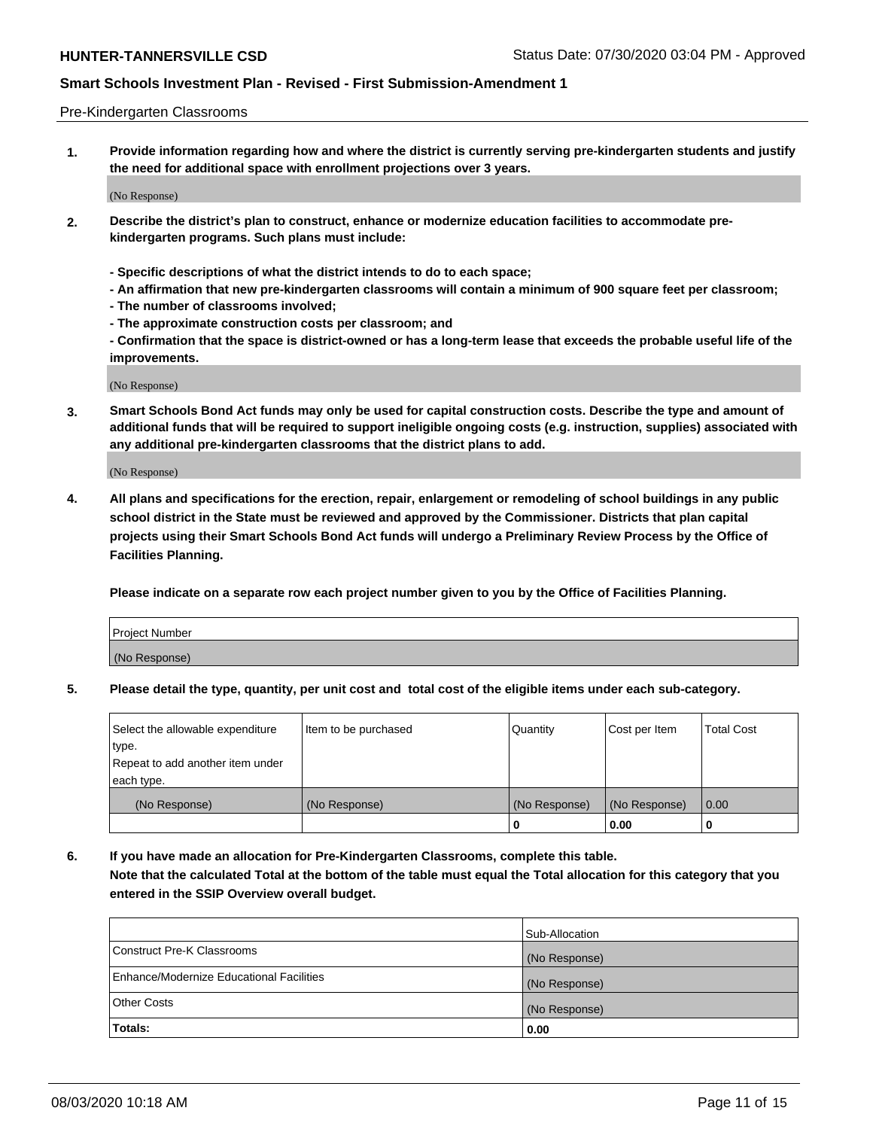### Pre-Kindergarten Classrooms

**1. Provide information regarding how and where the district is currently serving pre-kindergarten students and justify the need for additional space with enrollment projections over 3 years.**

(No Response)

- **2. Describe the district's plan to construct, enhance or modernize education facilities to accommodate prekindergarten programs. Such plans must include:**
	- **Specific descriptions of what the district intends to do to each space;**
	- **An affirmation that new pre-kindergarten classrooms will contain a minimum of 900 square feet per classroom;**
	- **The number of classrooms involved;**
	- **The approximate construction costs per classroom; and**
	- **Confirmation that the space is district-owned or has a long-term lease that exceeds the probable useful life of the improvements.**

(No Response)

**3. Smart Schools Bond Act funds may only be used for capital construction costs. Describe the type and amount of additional funds that will be required to support ineligible ongoing costs (e.g. instruction, supplies) associated with any additional pre-kindergarten classrooms that the district plans to add.**

(No Response)

**4. All plans and specifications for the erection, repair, enlargement or remodeling of school buildings in any public school district in the State must be reviewed and approved by the Commissioner. Districts that plan capital projects using their Smart Schools Bond Act funds will undergo a Preliminary Review Process by the Office of Facilities Planning.**

**Please indicate on a separate row each project number given to you by the Office of Facilities Planning.**

| Project Number |  |
|----------------|--|
| (No Response)  |  |
|                |  |

**5. Please detail the type, quantity, per unit cost and total cost of the eligible items under each sub-category.**

| Select the allowable expenditure | Item to be purchased | Quantity      | Cost per Item | <b>Total Cost</b> |
|----------------------------------|----------------------|---------------|---------------|-------------------|
| type.                            |                      |               |               |                   |
| Repeat to add another item under |                      |               |               |                   |
| each type.                       |                      |               |               |                   |
| (No Response)                    | (No Response)        | (No Response) | (No Response) | 0.00              |
|                                  |                      | o             | 0.00          | u                 |

**6. If you have made an allocation for Pre-Kindergarten Classrooms, complete this table. Note that the calculated Total at the bottom of the table must equal the Total allocation for this category that you entered in the SSIP Overview overall budget.**

|                                          | Sub-Allocation |
|------------------------------------------|----------------|
| Construct Pre-K Classrooms               | (No Response)  |
| Enhance/Modernize Educational Facilities | (No Response)  |
| <b>Other Costs</b>                       | (No Response)  |
| Totals:                                  | 0.00           |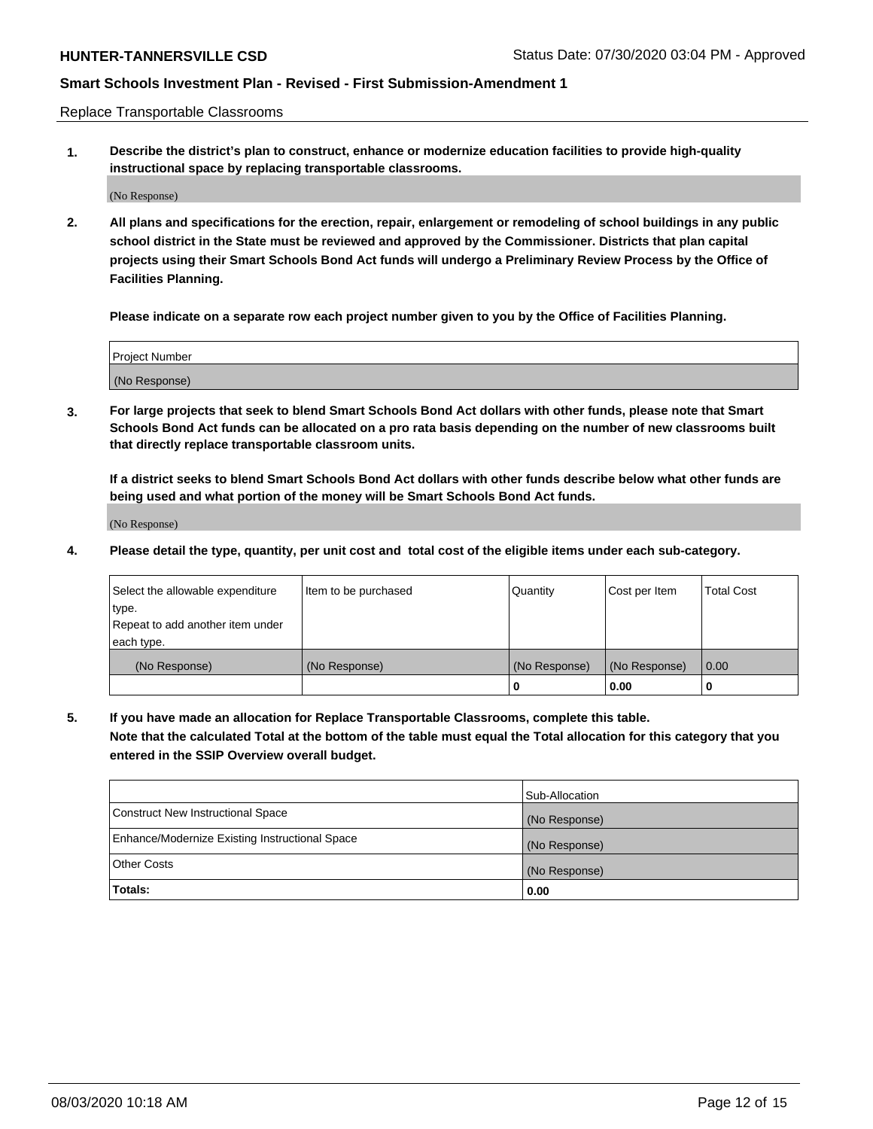Replace Transportable Classrooms

**1. Describe the district's plan to construct, enhance or modernize education facilities to provide high-quality instructional space by replacing transportable classrooms.**

(No Response)

**2. All plans and specifications for the erection, repair, enlargement or remodeling of school buildings in any public school district in the State must be reviewed and approved by the Commissioner. Districts that plan capital projects using their Smart Schools Bond Act funds will undergo a Preliminary Review Process by the Office of Facilities Planning.**

**Please indicate on a separate row each project number given to you by the Office of Facilities Planning.**

| Project Number |  |
|----------------|--|
|                |  |
| (No Response)  |  |

**3. For large projects that seek to blend Smart Schools Bond Act dollars with other funds, please note that Smart Schools Bond Act funds can be allocated on a pro rata basis depending on the number of new classrooms built that directly replace transportable classroom units.**

**If a district seeks to blend Smart Schools Bond Act dollars with other funds describe below what other funds are being used and what portion of the money will be Smart Schools Bond Act funds.**

(No Response)

**4. Please detail the type, quantity, per unit cost and total cost of the eligible items under each sub-category.**

| Select the allowable expenditure | Item to be purchased | Quantity      | Cost per Item | Total Cost |
|----------------------------------|----------------------|---------------|---------------|------------|
| ∣type.                           |                      |               |               |            |
| Repeat to add another item under |                      |               |               |            |
| each type.                       |                      |               |               |            |
| (No Response)                    | (No Response)        | (No Response) | (No Response) | 0.00       |
|                                  |                      | u             | 0.00          |            |

**5. If you have made an allocation for Replace Transportable Classrooms, complete this table. Note that the calculated Total at the bottom of the table must equal the Total allocation for this category that you entered in the SSIP Overview overall budget.**

|                                                | Sub-Allocation |
|------------------------------------------------|----------------|
| Construct New Instructional Space              | (No Response)  |
| Enhance/Modernize Existing Instructional Space | (No Response)  |
| <b>Other Costs</b>                             | (No Response)  |
| Totals:                                        | 0.00           |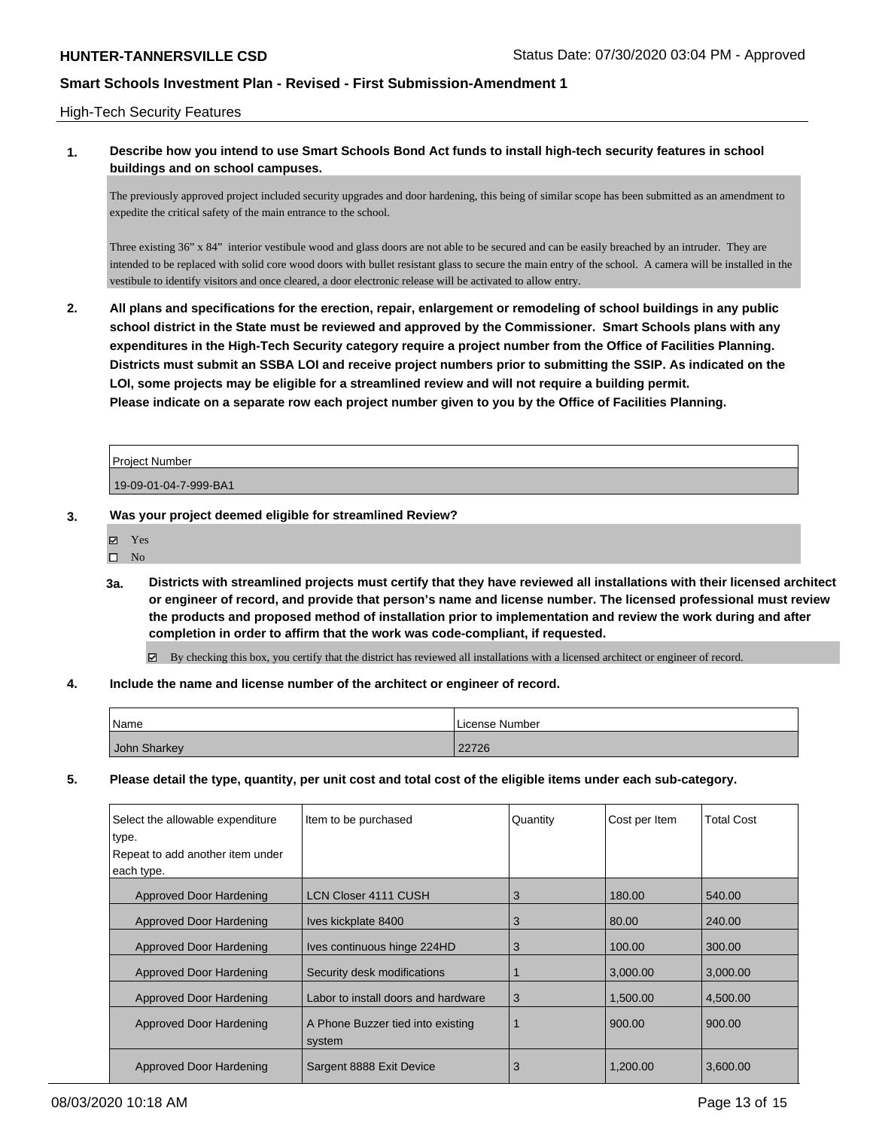### High-Tech Security Features

## **1. Describe how you intend to use Smart Schools Bond Act funds to install high-tech security features in school buildings and on school campuses.**

The previously approved project included security upgrades and door hardening, this being of similar scope has been submitted as an amendment to expedite the critical safety of the main entrance to the school.

Three existing 36" x 84" interior vestibule wood and glass doors are not able to be secured and can be easily breached by an intruder. They are intended to be replaced with solid core wood doors with bullet resistant glass to secure the main entry of the school. A camera will be installed in the vestibule to identify visitors and once cleared, a door electronic release will be activated to allow entry.

**2. All plans and specifications for the erection, repair, enlargement or remodeling of school buildings in any public school district in the State must be reviewed and approved by the Commissioner. Smart Schools plans with any expenditures in the High-Tech Security category require a project number from the Office of Facilities Planning. Districts must submit an SSBA LOI and receive project numbers prior to submitting the SSIP. As indicated on the LOI, some projects may be eligible for a streamlined review and will not require a building permit. Please indicate on a separate row each project number given to you by the Office of Facilities Planning.**

| <b>Project Number</b> |  |
|-----------------------|--|
| 19-09-01-04-7-999-BA1 |  |

- **3. Was your project deemed eligible for streamlined Review?**
	- Yes
	- $\square$  No
	- **3a. Districts with streamlined projects must certify that they have reviewed all installations with their licensed architect or engineer of record, and provide that person's name and license number. The licensed professional must review the products and proposed method of installation prior to implementation and review the work during and after completion in order to affirm that the work was code-compliant, if requested.**

By checking this box, you certify that the district has reviewed all installations with a licensed architect or engineer of record.

### **4. Include the name and license number of the architect or engineer of record.**

| Name         | License Number |
|--------------|----------------|
| John Sharkey | 22726          |

**5. Please detail the type, quantity, per unit cost and total cost of the eligible items under each sub-category.**

| Select the allowable expenditure<br>∣type.<br>Repeat to add another item under<br>each type. | Item to be purchased                        | Quantity | Cost per Item | <b>Total Cost</b> |
|----------------------------------------------------------------------------------------------|---------------------------------------------|----------|---------------|-------------------|
| Approved Door Hardening                                                                      | LCN Closer 4111 CUSH                        | 3        | 180.00        | 540.00            |
| Approved Door Hardening                                                                      | Ives kickplate 8400                         | 3        | 80.00         | 240.00            |
| Approved Door Hardening                                                                      | Ives continuous hinge 224HD                 | 3        | 100.00        | 300.00            |
| Approved Door Hardening                                                                      | Security desk modifications                 |          | 3.000.00      | 3.000.00          |
| Approved Door Hardening                                                                      | Labor to install doors and hardware         | 3        | 1,500.00      | 4,500.00          |
| Approved Door Hardening                                                                      | A Phone Buzzer tied into existing<br>system |          | 900.00        | 900.00            |
| Approved Door Hardening                                                                      | Sargent 8888 Exit Device                    | 3        | 1.200.00      | 3,600.00          |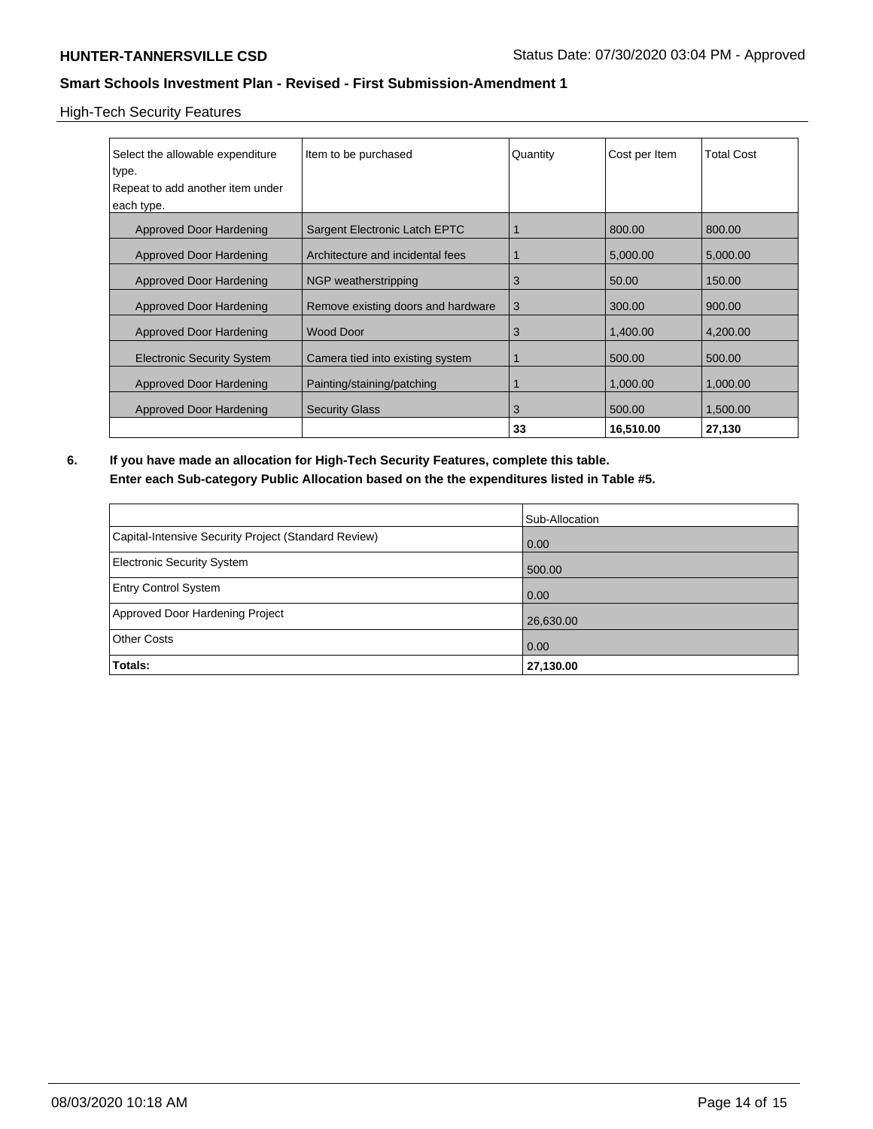## High-Tech Security Features

| Select the allowable expenditure<br>type.      | Item to be purchased               | Quantity | Cost per Item | <b>Total Cost</b> |
|------------------------------------------------|------------------------------------|----------|---------------|-------------------|
| Repeat to add another item under<br>each type. |                                    |          |               |                   |
|                                                |                                    |          |               |                   |
| Approved Door Hardening                        | Sargent Electronic Latch EPTC      |          | 800.00        | 800.00            |
| Approved Door Hardening                        | Architecture and incidental fees   |          | 5,000.00      | 5,000.00          |
| <b>Approved Door Hardening</b>                 | NGP weatherstripping               | 3        | 50.00         | 150.00            |
| Approved Door Hardening                        | Remove existing doors and hardware | 3        | 300.00        | 900.00            |
| Approved Door Hardening                        | <b>Wood Door</b>                   | 3        | 1,400.00      | 4,200.00          |
| <b>Electronic Security System</b>              | Camera tied into existing system   |          | 500.00        | 500.00            |
| <b>Approved Door Hardening</b>                 | Painting/staining/patching         |          | 1,000.00      | 1,000.00          |
| Approved Door Hardening                        | <b>Security Glass</b>              | 3        | 500.00        | 1,500.00          |
|                                                |                                    | 33       | 16,510.00     | 27,130            |

**6. If you have made an allocation for High-Tech Security Features, complete this table. Enter each Sub-category Public Allocation based on the the expenditures listed in Table #5.**

|                                                      | Sub-Allocation    |
|------------------------------------------------------|-------------------|
| Capital-Intensive Security Project (Standard Review) | $\overline{0.00}$ |
| Electronic Security System                           | 500.00            |
| <b>Entry Control System</b>                          | 0.00              |
| Approved Door Hardening Project                      | 26,630.00         |
| <b>Other Costs</b>                                   | 0.00              |
| Totals:                                              | 27,130.00         |